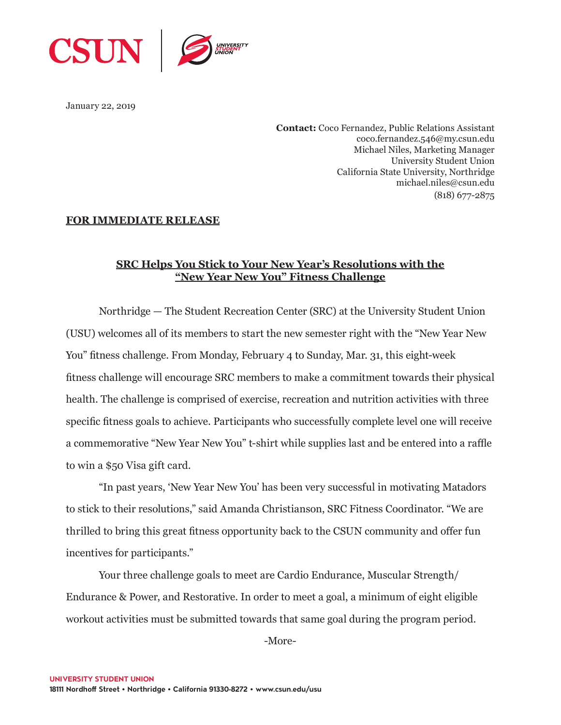

January 22, 2019

**Contact:** Coco Fernandez, Public Relations Assistant coco.fernandez.546@my.csun.edu Michael Niles, Marketing Manager University Student Union California State University, Northridge michael.niles@csun.edu (818) 677-2875

## **FOR IMMEDIATE RELEASE**

## **SRC Helps You Stick to Your New Year's Resolutions with the "New Year New You" Fitness Challenge**

Northridge — The Student Recreation Center (SRC) at the University Student Union (USU) welcomes all of its members to start the new semester right with the "New Year New You" fitness challenge. From Monday, February 4 to Sunday, Mar. 31, this eight-week fitness challenge will encourage SRC members to make a commitment towards their physical health. The challenge is comprised of exercise, recreation and nutrition activities with three specific fitness goals to achieve. Participants who successfully complete level one will receive a commemorative "New Year New You" t-shirt while supplies last and be entered into a raffle to win a \$50 Visa gift card.

"In past years, 'New Year New You' has been very successful in motivating Matadors to stick to their resolutions," said Amanda Christianson, SRC Fitness Coordinator. "We are thrilled to bring this great fitness opportunity back to the CSUN community and offer fun incentives for participants."

Your three challenge goals to meet are Cardio Endurance, Muscular Strength/ Endurance & Power, and Restorative. In order to meet a goal, a minimum of eight eligible workout activities must be submitted towards that same goal during the program period.

-More-